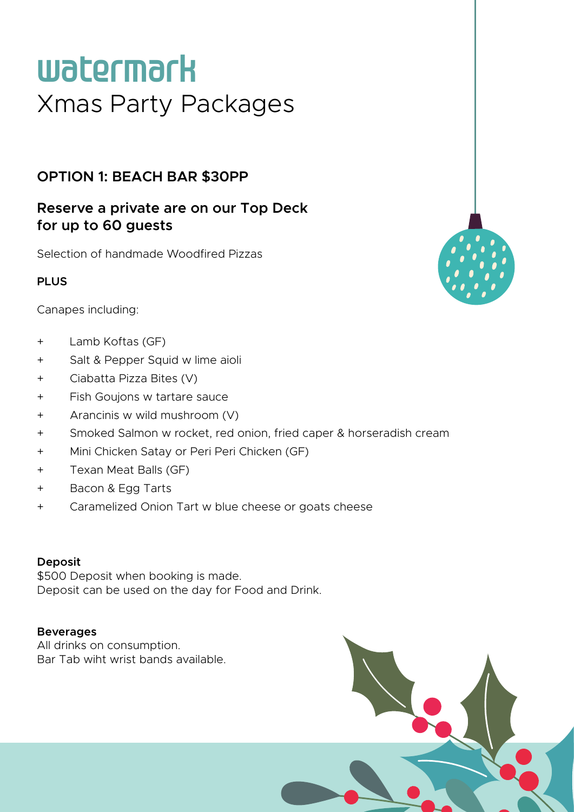# **watermark** Xmas Party Packages

## **OPTION 1: BEACH BAR \$30PP**

## **Reserve a private are on our Top Deck for up to 60 guests**

Selection of handmade Woodfired Pizzas

### **PLUS**

Canapes including:

- + Lamb Koftas (GF)
- + Salt & Pepper Squid w lime aioli
- + Ciabatta Pizza Bites (V)
- + Fish Goujons w tartare sauce
- + Arancinis w wild mushroom (V)
- + Smoked Salmon w rocket, red onion, fried caper & horseradish cream
- + Mini Chicken Satay or Peri Peri Chicken (GF)
- + Texan Meat Balls (GF)
- + Bacon & Egg Tarts
- + Caramelized Onion Tart w blue cheese or goats cheese

#### **Deposit**

\$500 Deposit when booking is made. Deposit can be used on the day for Food and Drink.

#### **Beverages**

All drinks on consumption. Bar Tab wiht wrist bands available.